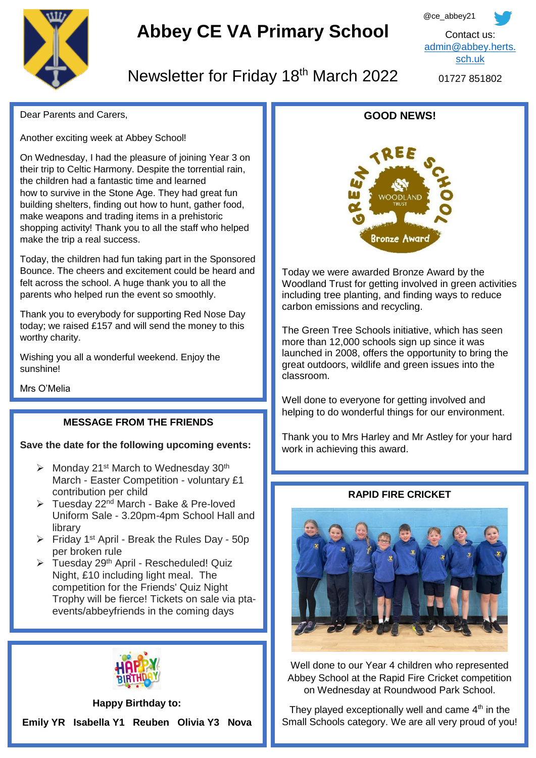

# **Abbey CE VA Primary School**



## Newsletter for Friday 18th March 2022

01727 851802

Dear Parents and Carers,

Another exciting week at Abbey School!

On Wednesday, I had the pleasure of joining Year 3 on their trip to Celtic Harmony. Despite the torrential rain, the children had a fantastic time and learned how to survive in the Stone Age. They had great fun building shelters, finding out how to hunt, gather food, make weapons and trading items in a prehistoric shopping activity! Thank you to all the staff who helped make the trip a real success.

Today, the children had fun taking part in the Sponsored Bounce. The cheers and excitement could be heard and felt across the school. A huge thank you to all the parents who helped run the event so smoothly.

Thank you to everybody for supporting Red Nose Day today; we raised £157 and will send the money to this worthy charity.

Wishing you all a wonderful weekend. Enjoy the sunshine!

Mrs O'Melia

Ĩ 

#### **MESSAGE FROM THE FRIENDS**

## **Save the date for the following upcoming events:**

- $\triangleright$  Monday 21<sup>st</sup> March to Wednesday 30<sup>th</sup> March - Easter Competition - voluntary £1 contribution per child
- $\triangleright$  Tuesday 22<sup>nd</sup> March Bake & Pre-loved Uniform Sale - 3.20pm-4pm School Hall and library
- $\triangleright$  Friday 1<sup>st</sup> April Break the Rules Day 50p per broken rule
- > Tuesday 29<sup>th</sup> April Rescheduled! Quiz Night, £10 including light meal. The competition for the Friends' Quiz Night Trophy will be fierce! Tickets on sale via ptaevents/abbeyfriends in the coming days



### **Happy Birthday to: Emily YR Isabella Y1 Reuben Olivia Y3 Nova**





Today we were awarded Bronze Award by the Woodland Trust for getting involved in green activities including tree planting, and finding ways to reduce carbon emissions and recycling.

The Green Tree Schools initiative, which has seen more than 12,000 schools sign up since it was launched in 2008, offers the opportunity to bring the great outdoors, wildlife and green issues into the classroom.

Well done to everyone for getting involved and helping to do wonderful things for our environment.

Thank you to Mrs Harley and Mr Astley for your hard work in achieving this award.

#### **RAPID FIRE CRICKET**



Well done to our Year 4 children who represented Abbey School at the Rapid Fire Cricket competition on Wednesday at Roundwood Park School.

They played exceptionally well and came  $4<sup>th</sup>$  in the Small Schools category. We are all very proud of you!